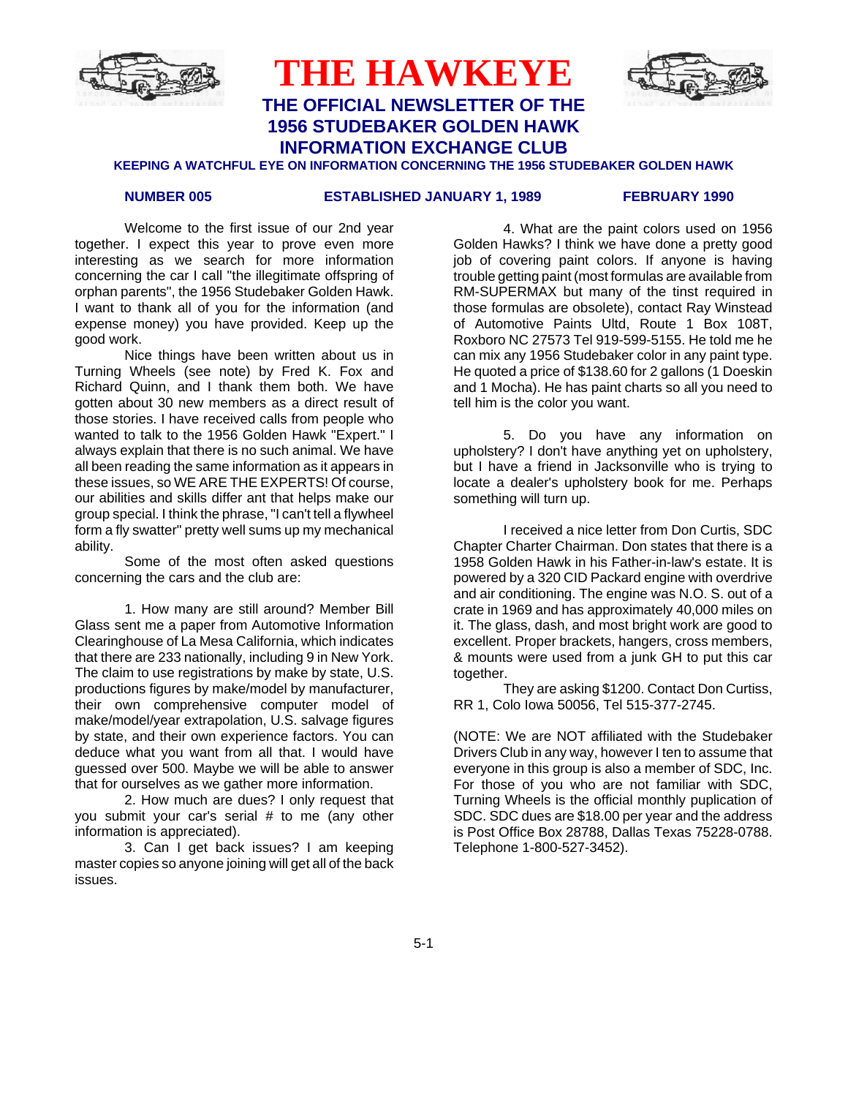

# **THE HAWKEYE THE OFFICIAL NEWSLETTER OF THE 1956 STUDEBAKER GOLDEN HAWK INFORMATION EXCHANGE CLUB**



**KEEPING A WATCHFUL EYE ON INFORMATION CONCERNING THE 1956 STUDEBAKER GOLDEN HAWK**

**NUMBER 005 ESTABLISHED JANUARY 1, 1989 FEBRUARY 1990**

Welcome to the first issue of our 2nd year together. I expect this year to prove even more interesting as we search for more information concerning the car I call "the illegitimate offspring of orphan parents", the 1956 Studebaker Golden Hawk. I want to thank all of you for the information (and expense money) you have provided. Keep up the good work.

Nice things have been written about us in Turning Wheels (see note) by Fred K. Fox and Richard Quinn, and I thank them both. We have gotten about 30 new members as a direct result of those stories. I have received calls from people who wanted to talk to the 1956 Golden Hawk "Expert." I always explain that there is no such animal. We have all been reading the same information as it appears in these issues, so WE ARE THE EXPERTS! Of course, our abilities and skills differ ant that helps make our group special. I think the phrase, "I can't tell a flywheel form a fly swatter" pretty well sums up my mechanical ability.

Some of the most often asked questions concerning the cars and the club are:

1. How many are still around? Member Bill Glass sent me a paper from Automotive Information Clearinghouse of La Mesa California, which indicates that there are 233 nationally, including 9 in New York. The claim to use registrations by make by state, U.S. productions figures by make/model by manufacturer, their own comprehensive computer model of make/model/year extrapolation, U.S. salvage figures by state, and their own experience factors. You can deduce what you want from all that. I would have guessed over 500. Maybe we will be able to answer that for ourselves as we gather more information.

2. How much are dues? I only request that you submit your car's serial # to me (any other information is appreciated).

3. Can I get back issues? I am keeping master copies so anyone joining will get all of the back issues.

4. What are the paint colors used on 1956 Golden Hawks? I think we have done a pretty good job of covering paint colors. If anyone is having trouble getting paint (most formulas are available from RM-SUPERMAX but many of the tinst required in those formulas are obsolete), contact Ray Winstead of Automotive Paints Ultd, Route 1 Box 108T, Roxboro NC 27573 Tel 919-599-5155. He told me he can mix any 1956 Studebaker color in any paint type. He quoted a price of \$138.60 for 2 gallons (1 Doeskin and 1 Mocha). He has paint charts so all you need to tell him is the color you want.

5. Do you have any information on upholstery? I don't have anything yet on upholstery, but I have a friend in Jacksonville who is trying to locate a dealer's upholstery book for me. Perhaps something will turn up.

I received a nice letter from Don Curtis, SDC Chapter Charter Chairman. Don states that there is a 1958 Golden Hawk in his Father-in-law's estate. It is powered by a 320 CID Packard engine with overdrive and air conditioning. The engine was N.O. S. out of a crate in 1969 and has approximately 40,000 miles on it. The glass, dash, and most bright work are good to excellent. Proper brackets, hangers, cross members, & mounts were used from a junk GH to put this car together.

They are asking \$1200. Contact Don Curtiss, RR 1, Colo Iowa 50056, Tel 515-377-2745.

(NOTE: We are NOT affiliated with the Studebaker Drivers Club in any way, however I ten to assume that everyone in this group is also a member of SDC, Inc. For those of you who are not familiar with SDC, Turning Wheels is the official monthly puplication of SDC. SDC dues are \$18.00 per year and the address is Post Office Box 28788, Dallas Texas 75228-0788. Telephone 1-800-527-3452).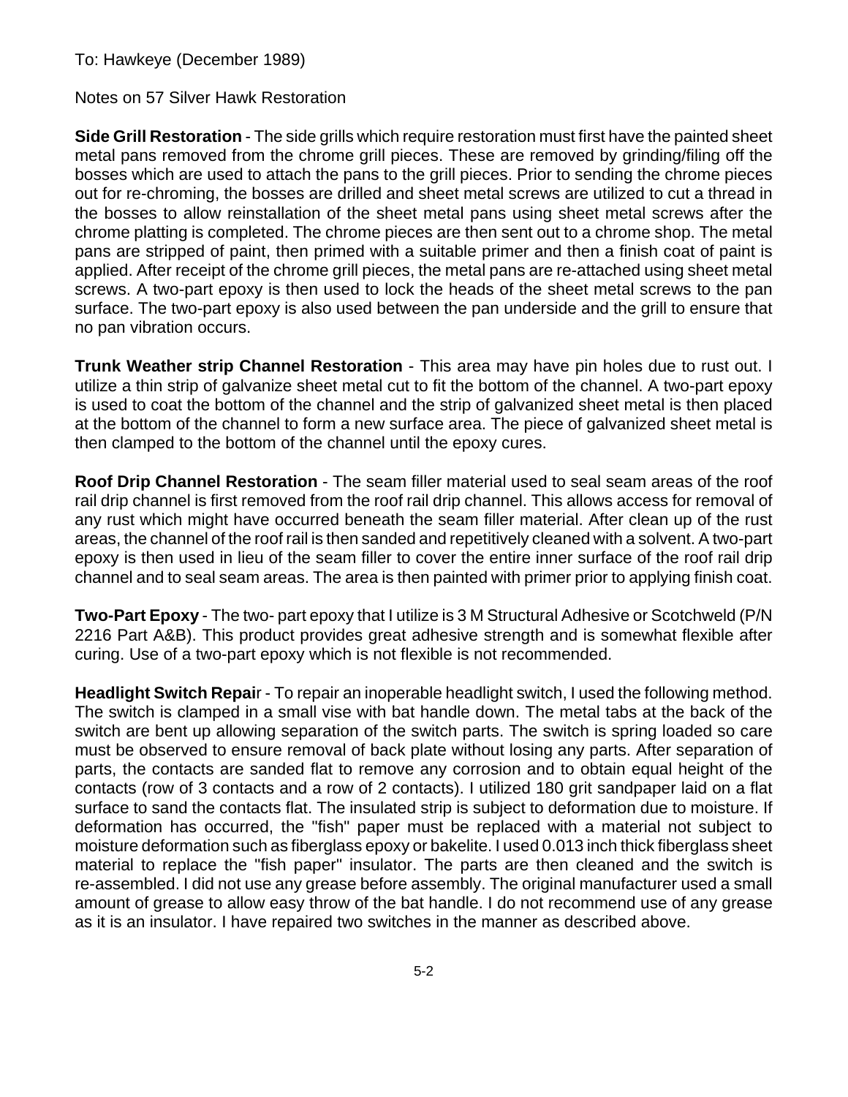# To: Hawkeye (December 1989)

Notes on 57 Silver Hawk Restoration

**Side Grill Restoration** - The side grills which require restoration must first have the painted sheet metal pans removed from the chrome grill pieces. These are removed by grinding/filing off the bosses which are used to attach the pans to the grill pieces. Prior to sending the chrome pieces out for re-chroming, the bosses are drilled and sheet metal screws are utilized to cut a thread in the bosses to allow reinstallation of the sheet metal pans using sheet metal screws after the chrome platting is completed. The chrome pieces are then sent out to a chrome shop. The metal pans are stripped of paint, then primed with a suitable primer and then a finish coat of paint is applied. After receipt of the chrome grill pieces, the metal pans are re-attached using sheet metal screws. A two-part epoxy is then used to lock the heads of the sheet metal screws to the pan surface. The two-part epoxy is also used between the pan underside and the grill to ensure that no pan vibration occurs.

**Trunk Weather strip Channel Restoration** - This area may have pin holes due to rust out. I utilize a thin strip of galvanize sheet metal cut to fit the bottom of the channel. A two-part epoxy is used to coat the bottom of the channel and the strip of galvanized sheet metal is then placed at the bottom of the channel to form a new surface area. The piece of galvanized sheet metal is then clamped to the bottom of the channel until the epoxy cures.

**Roof Drip Channel Restoration** - The seam filler material used to seal seam areas of the roof rail drip channel is first removed from the roof rail drip channel. This allows access for removal of any rust which might have occurred beneath the seam filler material. After clean up of the rust areas, the channel of the roof rail is then sanded and repetitively cleaned with a solvent. A two-part epoxy is then used in lieu of the seam filler to cover the entire inner surface of the roof rail drip channel and to seal seam areas. The area is then painted with primer prior to applying finish coat.

**Two-Part Epoxy** - The two- part epoxy that I utilize is 3 M Structural Adhesive or Scotchweld (P/N 2216 Part A&B). This product provides great adhesive strength and is somewhat flexible after curing. Use of a two-part epoxy which is not flexible is not recommended.

**Headlight Switch Repai**r - To repair an inoperable headlight switch, I used the following method. The switch is clamped in a small vise with bat handle down. The metal tabs at the back of the switch are bent up allowing separation of the switch parts. The switch is spring loaded so care must be observed to ensure removal of back plate without losing any parts. After separation of parts, the contacts are sanded flat to remove any corrosion and to obtain equal height of the contacts (row of 3 contacts and a row of 2 contacts). I utilized 180 grit sandpaper laid on a flat surface to sand the contacts flat. The insulated strip is subject to deformation due to moisture. If deformation has occurred, the "fish" paper must be replaced with a material not subject to moisture deformation such as fiberglass epoxy or bakelite. I used 0.013 inch thick fiberglass sheet material to replace the "fish paper" insulator. The parts are then cleaned and the switch is re-assembled. I did not use any grease before assembly. The original manufacturer used a small amount of grease to allow easy throw of the bat handle. I do not recommend use of any grease as it is an insulator. I have repaired two switches in the manner as described above.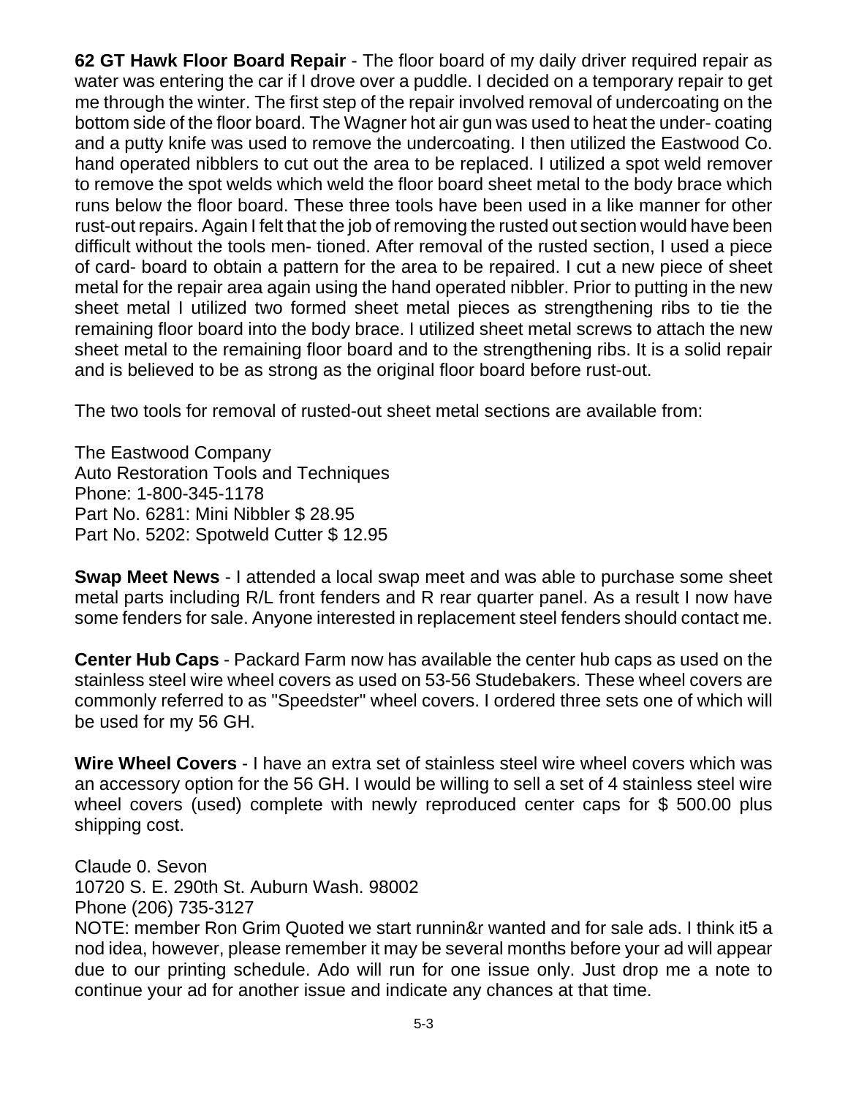**62 GT Hawk Floor Board Repair** - The floor board of my daily driver required repair as water was entering the car if I drove over a puddle. I decided on a temporary repair to get me through the winter. The first step of the repair involved removal of undercoating on the bottom side of the floor board. The Wagner hot air gun was used to heat the under- coating and a putty knife was used to remove the undercoating. I then utilized the Eastwood Co. hand operated nibblers to cut out the area to be replaced. I utilized a spot weld remover to remove the spot welds which weld the floor board sheet metal to the body brace which runs below the floor board. These three tools have been used in a like manner for other rust-out repairs. Again I felt that the job of removing the rusted out section would have been difficult without the tools men- tioned. After removal of the rusted section, I used a piece of card- board to obtain a pattern for the area to be repaired. I cut a new piece of sheet metal for the repair area again using the hand operated nibbler. Prior to putting in the new sheet metal I utilized two formed sheet metal pieces as strengthening ribs to tie the remaining floor board into the body brace. I utilized sheet metal screws to attach the new sheet metal to the remaining floor board and to the strengthening ribs. It is a solid repair and is believed to be as strong as the original floor board before rust-out.

The two tools for removal of rusted-out sheet metal sections are available from:

The Eastwood Company Auto Restoration Tools and Techniques Phone: 1-800-345-1178 Part No. 6281: Mini Nibbler \$ 28.95 Part No. 5202: Spotweld Cutter \$ 12.95

**Swap Meet News** - I attended a local swap meet and was able to purchase some sheet metal parts including R/L front fenders and R rear quarter panel. As a result I now have some fenders for sale. Anyone interested in replacement steel fenders should contact me.

**Center Hub Caps** - Packard Farm now has available the center hub caps as used on the stainless steel wire wheel covers as used on 53-56 Studebakers. These wheel covers are commonly referred to as "Speedster" wheel covers. I ordered three sets one of which will be used for my 56 GH.

**Wire Wheel Covers** - I have an extra set of stainless steel wire wheel covers which was an accessory option for the 56 GH. I would be willing to sell a set of 4 stainless steel wire wheel covers (used) complete with newly reproduced center caps for \$ 500.00 plus shipping cost.

Claude 0. Sevon 10720 S. E. 290th St. Auburn Wash. 98002 Phone (206) 735-3127 NOTE: member Ron Grim Quoted we start runnin&r wanted and for sale ads. I think it5 a nod idea, however, please remember it may be several months before your ad will appear due to our printing schedule. Ado will run for one issue only. Just drop me a note to continue your ad for another issue and indicate any chances at that time.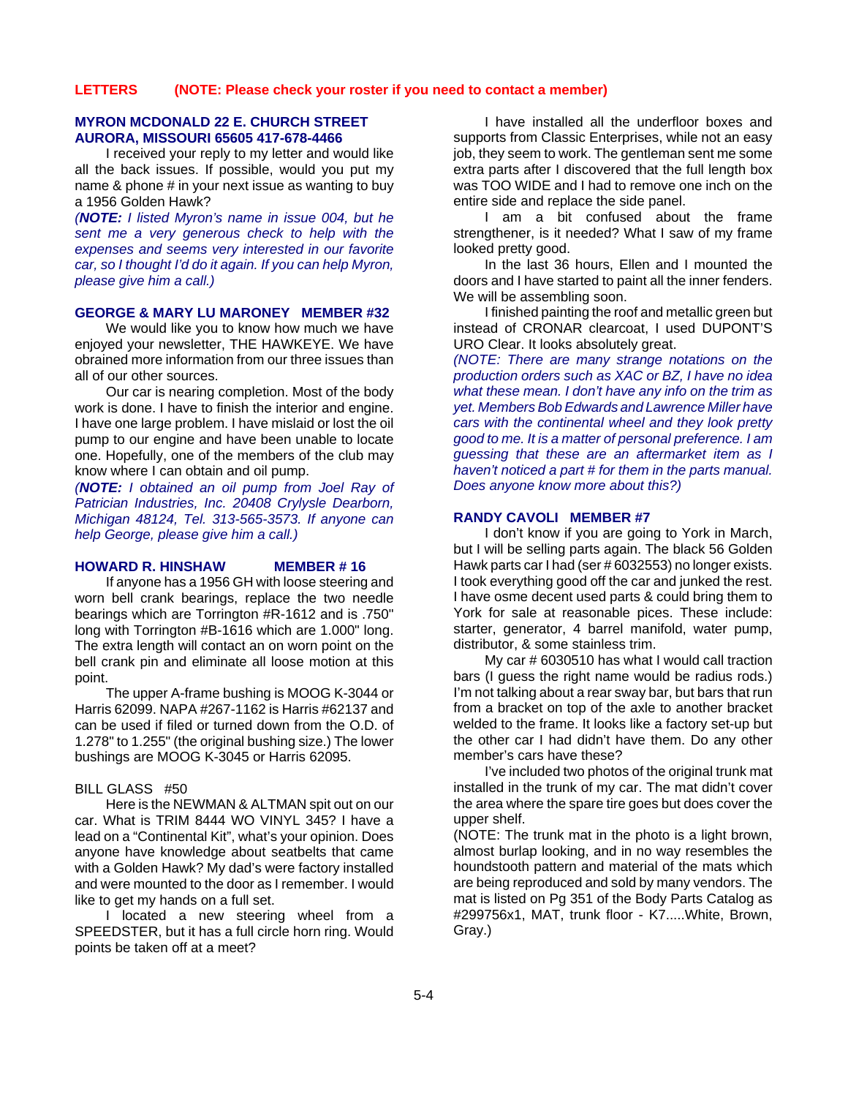#### **MYRON MCDONALD 22 E. CHURCH STREET AURORA, MISSOURI 65605 417-678-4466**

I received your reply to my letter and would like all the back issues. If possible, would you put my name & phone # in your next issue as wanting to buy a 1956 Golden Hawk?

*(NOTE: I listed Myron's name in issue 004, but he sent me a very generous check to help with the expenses and seems very interested in our favorite car, so I thought I'd do it again. If you can help Myron, please give him a call.)*

#### **GEORGE & MARY LU MARONEY MEMBER #32**

We would like you to know how much we have enjoyed your newsletter, THE HAWKEYE. We have obrained more information from our three issues than all of our other sources.

Our car is nearing completion. Most of the body work is done. I have to finish the interior and engine. I have one large problem. I have mislaid or lost the oil pump to our engine and have been unable to locate one. Hopefully, one of the members of the club may know where I can obtain and oil pump.

*(NOTE: I obtained an oil pump from Joel Ray of Patrician Industries, Inc. 20408 Crylysle Dearborn, Michigan 48124, Tel. 313-565-3573. If anyone can help George, please give him a call.)*

#### **HOWARD R. HINSHAW MEMBER # 16**

If anyone has a 1956 GH with loose steering and worn bell crank bearings, replace the two needle bearings which are Torrington #R-1612 and is .750" long with Torrington #B-1616 which are 1.000" long. The extra length will contact an on worn point on the bell crank pin and eliminate all loose motion at this point.

The upper A-frame bushing is MOOG K-3044 or Harris 62099. NAPA #267-1162 is Harris #62137 and can be used if filed or turned down from the O.D. of 1.278" to 1.255" (the original bushing size.) The lower bushings are MOOG K-3045 or Harris 62095.

#### BILL GLASS #50

Here is the NEWMAN & ALTMAN spit out on our car. What is TRIM 8444 WO VINYL 345? I have a lead on a "Continental Kit", what's your opinion. Does anyone have knowledge about seatbelts that came with a Golden Hawk? My dad's were factory installed and were mounted to the door as I remember. I would like to get my hands on a full set.

I located a new steering wheel from a SPEEDSTER, but it has a full circle horn ring. Would points be taken off at a meet?

I have installed all the underfloor boxes and supports from Classic Enterprises, while not an easy job, they seem to work. The gentleman sent me some extra parts after I discovered that the full length box was TOO WIDE and I had to remove one inch on the entire side and replace the side panel.

I am a bit confused about the frame strengthener, is it needed? What I saw of my frame looked pretty good.

In the last 36 hours, Ellen and I mounted the doors and I have started to paint all the inner fenders. We will be assembling soon.

I finished painting the roof and metallic green but instead of CRONAR clearcoat, I used DUPONT'S URO Clear. It looks absolutely great.

*(NOTE: There are many strange notations on the production orders such as XAC or BZ, I have no idea what these mean. I don't have any info on the trim as yet. Members Bob Edwards and Lawrence Miller have cars with the continental wheel and they look pretty good to me. It is a matter of personal preference. I am guessing that these are an aftermarket item as I haven't noticed a part # for them in the parts manual. Does anyone know more about this?)*

#### **RANDY CAVOLI MEMBER #7**

I don't know if you are going to York in March, but I will be selling parts again. The black 56 Golden Hawk parts car I had (ser # 6032553) no longer exists. I took everything good off the car and junked the rest. I have osme decent used parts & could bring them to York for sale at reasonable pices. These include: starter, generator, 4 barrel manifold, water pump, distributor, & some stainless trim.

My car # 6030510 has what I would call traction bars (I guess the right name would be radius rods.) I'm not talking about a rear sway bar, but bars that run from a bracket on top of the axle to another bracket welded to the frame. It looks like a factory set-up but the other car I had didn't have them. Do any other member's cars have these?

I've included two photos of the original trunk mat installed in the trunk of my car. The mat didn't cover the area where the spare tire goes but does cover the upper shelf.

(NOTE: The trunk mat in the photo is a light brown, almost burlap looking, and in no way resembles the houndstooth pattern and material of the mats which are being reproduced and sold by many vendors. The mat is listed on Pg 351 of the Body Parts Catalog as #299756x1, MAT, trunk floor - K7.....White, Brown, Gray.)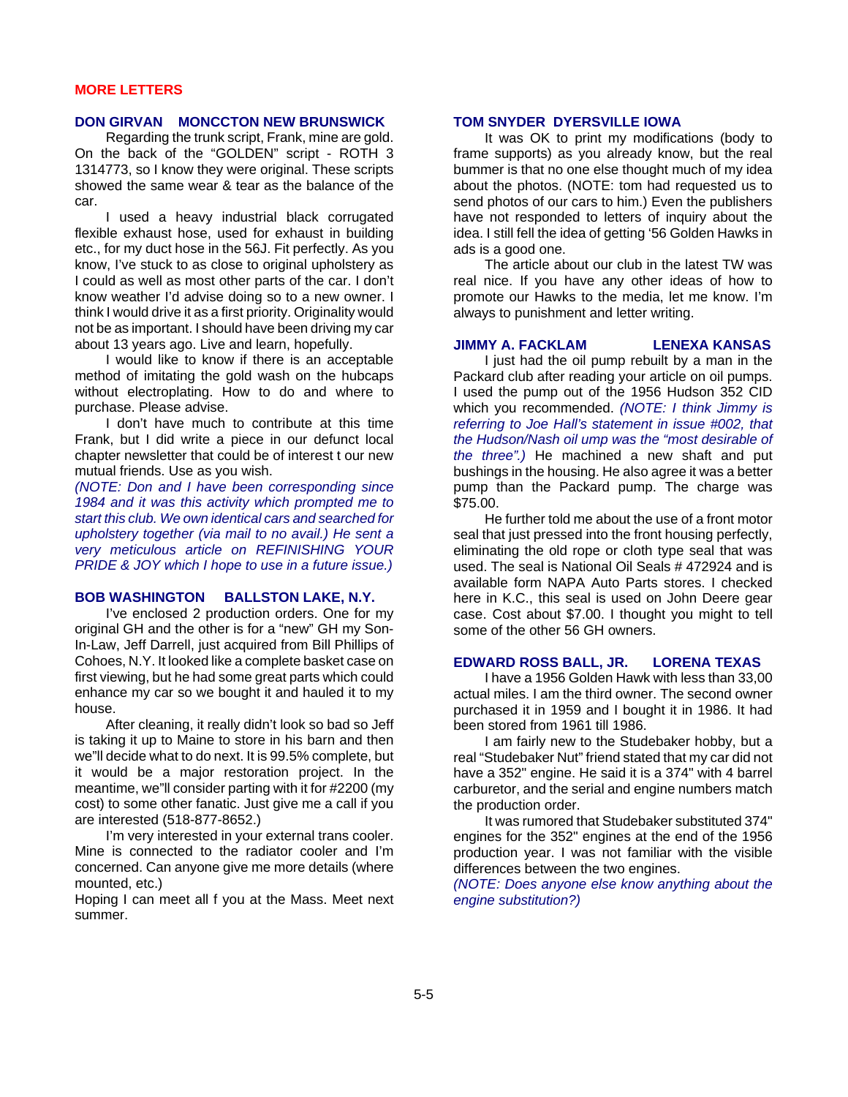#### **MORE LETTERS**

#### **DON GIRVAN MONCCTON NEW BRUNSWICK**

Regarding the trunk script, Frank, mine are gold. On the back of the "GOLDEN" script - ROTH 3 1314773, so I know they were original. These scripts showed the same wear & tear as the balance of the car.

I used a heavy industrial black corrugated flexible exhaust hose, used for exhaust in building etc., for my duct hose in the 56J. Fit perfectly. As you know, I've stuck to as close to original upholstery as I could as well as most other parts of the car. I don't know weather I'd advise doing so to a new owner. I think I would drive it as a first priority. Originality would not be as important. I should have been driving my car about 13 years ago. Live and learn, hopefully.

I would like to know if there is an acceptable method of imitating the gold wash on the hubcaps without electroplating. How to do and where to purchase. Please advise.

I don't have much to contribute at this time Frank, but I did write a piece in our defunct local chapter newsletter that could be of interest t our new mutual friends. Use as you wish.

*(NOTE: Don and I have been corresponding since 1984 and it was this activity which prompted me to start this club. We own identical cars and searched for upholstery together (via mail to no avail.) He sent a very meticulous article on REFINISHING YOUR PRIDE & JOY which I hope to use in a future issue.)*

#### **BOB WASHINGTON BALLSTON LAKE, N.Y.**

I've enclosed 2 production orders. One for my original GH and the other is for a "new" GH my Son-In-Law, Jeff Darrell, just acquired from Bill Phillips of Cohoes, N.Y. It looked like a complete basket case on first viewing, but he had some great parts which could enhance my car so we bought it and hauled it to my house.

After cleaning, it really didn't look so bad so Jeff is taking it up to Maine to store in his barn and then we"ll decide what to do next. It is 99.5% complete, but it would be a major restoration project. In the meantime, we"ll consider parting with it for #2200 (my cost) to some other fanatic. Just give me a call if you are interested (518-877-8652.)

I'm very interested in your external trans cooler. Mine is connected to the radiator cooler and I'm concerned. Can anyone give me more details (where mounted, etc.)

Hoping I can meet all f you at the Mass. Meet next summer.

#### **TOM SNYDER DYERSVILLE IOWA**

It was OK to print my modifications (body to frame supports) as you already know, but the real bummer is that no one else thought much of my idea about the photos. (NOTE: tom had requested us to send photos of our cars to him.) Even the publishers have not responded to letters of inquiry about the idea. I still fell the idea of getting '56 Golden Hawks in ads is a good one.

The article about our club in the latest TW was real nice. If you have any other ideas of how to promote our Hawks to the media, let me know. I'm always to punishment and letter writing.

#### **JIMMY A. FACKLAM LENEXA KANSAS**

I just had the oil pump rebuilt by a man in the Packard club after reading your article on oil pumps. I used the pump out of the 1956 Hudson 352 CID which you recommended. *(NOTE: I think Jimmy is referring to Joe Hall's statement in issue #002, that the Hudson/Nash oil ump was the "most desirable of the three".)* He machined a new shaft and put bushings in the housing. He also agree it was a better pump than the Packard pump. The charge was \$75.00.

He further told me about the use of a front motor seal that just pressed into the front housing perfectly, eliminating the old rope or cloth type seal that was used. The seal is National Oil Seals # 472924 and is available form NAPA Auto Parts stores. I checked here in K.C., this seal is used on John Deere gear case. Cost about \$7.00. I thought you might to tell some of the other 56 GH owners.

#### **EDWARD ROSS BALL, JR. LORENA TEXAS**

I have a 1956 Golden Hawk with less than 33,00 actual miles. I am the third owner. The second owner purchased it in 1959 and I bought it in 1986. It had been stored from 1961 till 1986.

I am fairly new to the Studebaker hobby, but a real "Studebaker Nut" friend stated that my car did not have a 352" engine. He said it is a 374" with 4 barrel carburetor, and the serial and engine numbers match the production order.

It was rumored that Studebaker substituted 374" engines for the 352" engines at the end of the 1956 production year. I was not familiar with the visible differences between the two engines.

*(NOTE: Does anyone else know anything about the engine substitution?)*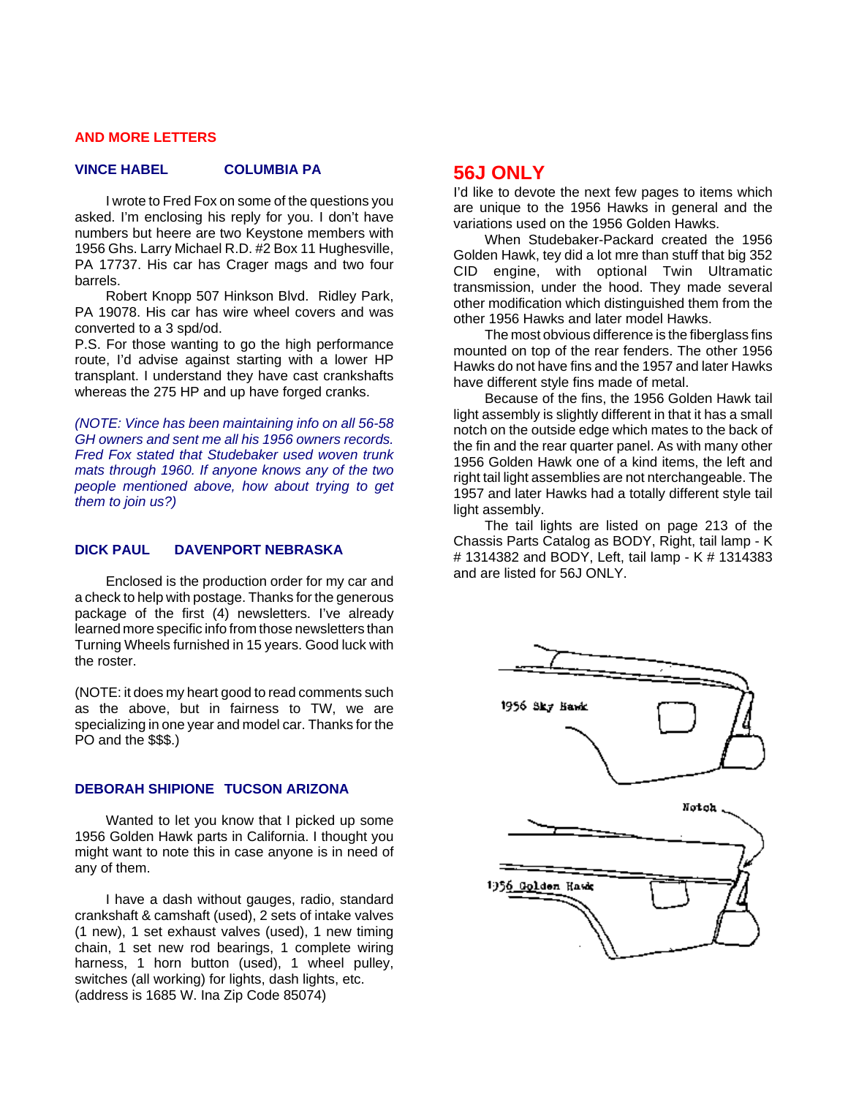#### **AND MORE LETTERS**

#### **VINCE HABEL COLUMBIA PA**

I wrote to Fred Fox on some of the questions you asked. I'm enclosing his reply for you. I don't have numbers but heere are two Keystone members with 1956 Ghs. Larry Michael R.D. #2 Box 11 Hughesville, PA 17737. His car has Crager mags and two four barrels.

Robert Knopp 507 Hinkson Blvd. Ridley Park, PA 19078. His car has wire wheel covers and was converted to a 3 spd/od.

P.S. For those wanting to go the high performance route, I'd advise against starting with a lower HP transplant. I understand they have cast crankshafts whereas the 275 HP and up have forged cranks.

*(NOTE: Vince has been maintaining info on all 56-58 GH owners and sent me all his 1956 owners records. Fred Fox stated that Studebaker used woven trunk mats through 1960. If anyone knows any of the two people mentioned above, how about trying to get them to join us?)*

#### **DICK PAUL DAVENPORT NEBRASKA**

Enclosed is the production order for my car and a check to help with postage. Thanks for the generous package of the first (4) newsletters. I've already learned more specific info from those newsletters than Turning Wheels furnished in 15 years. Good luck with the roster.

(NOTE: it does my heart good to read comments such as the above, but in fairness to TW, we are specializing in one year and model car. Thanks for the PO and the \$\$\$.)

#### **DEBORAH SHIPIONE TUCSON ARIZONA**

Wanted to let you know that I picked up some 1956 Golden Hawk parts in California. I thought you might want to note this in case anyone is in need of any of them.

I have a dash without gauges, radio, standard crankshaft & camshaft (used), 2 sets of intake valves (1 new), 1 set exhaust valves (used), 1 new timing chain, 1 set new rod bearings, 1 complete wiring harness, 1 horn button (used), 1 wheel pulley, switches (all working) for lights, dash lights, etc. (address is 1685 W. Ina Zip Code 85074)

# **56J ONLY**

I'd like to devote the next few pages to items which are unique to the 1956 Hawks in general and the variations used on the 1956 Golden Hawks.

When Studebaker-Packard created the 1956 Golden Hawk, tey did a lot mre than stuff that big 352 CID engine, with optional Twin Ultramatic transmission, under the hood. They made several other modification which distinguished them from the other 1956 Hawks and later model Hawks.

The most obvious difference is the fiberglass fins mounted on top of the rear fenders. The other 1956 Hawks do not have fins and the 1957 and later Hawks have different style fins made of metal.

Because of the fins, the 1956 Golden Hawk tail light assembly is slightly different in that it has a small notch on the outside edge which mates to the back of the fin and the rear quarter panel. As with many other 1956 Golden Hawk one of a kind items, the left and right tail light assemblies are not nterchangeable. The 1957 and later Hawks had a totally different style tail light assembly.

The tail lights are listed on page 213 of the Chassis Parts Catalog as BODY, Right, tail lamp - K # 1314382 and BODY, Left, tail lamp - K # 1314383 and are listed for 56J ONLY.

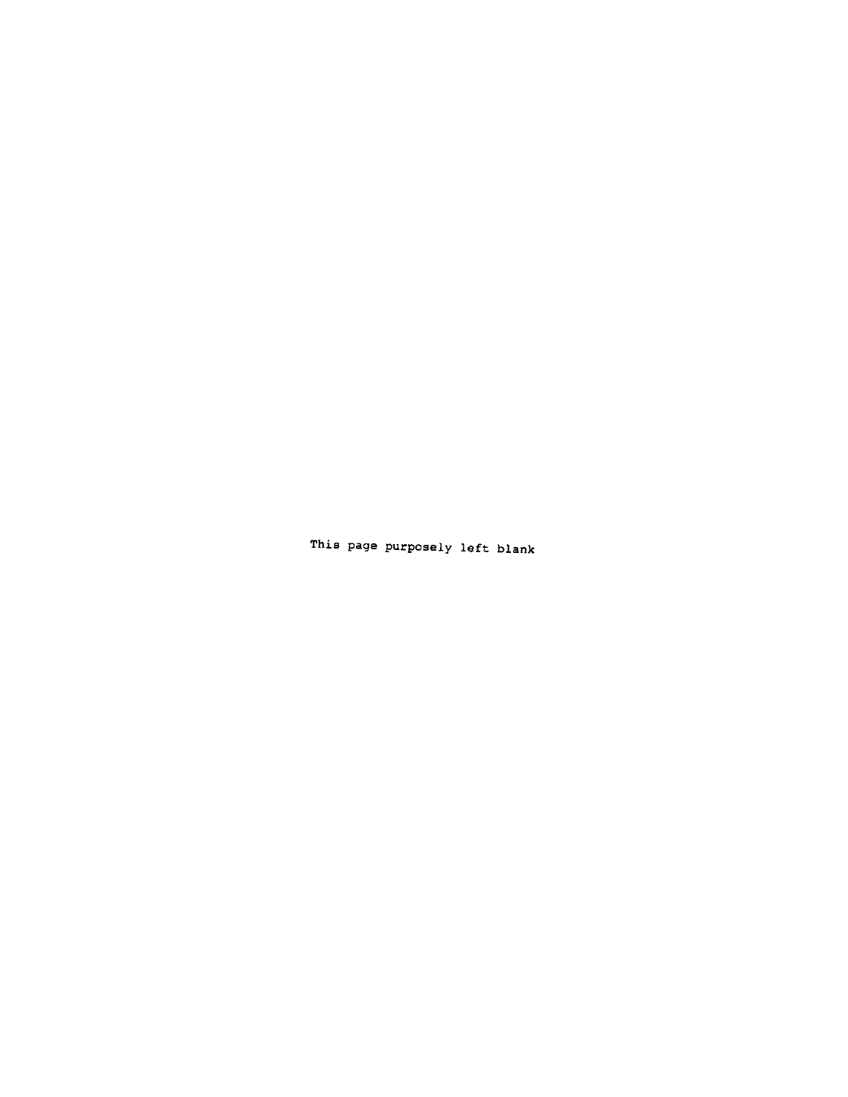This page purposely left blank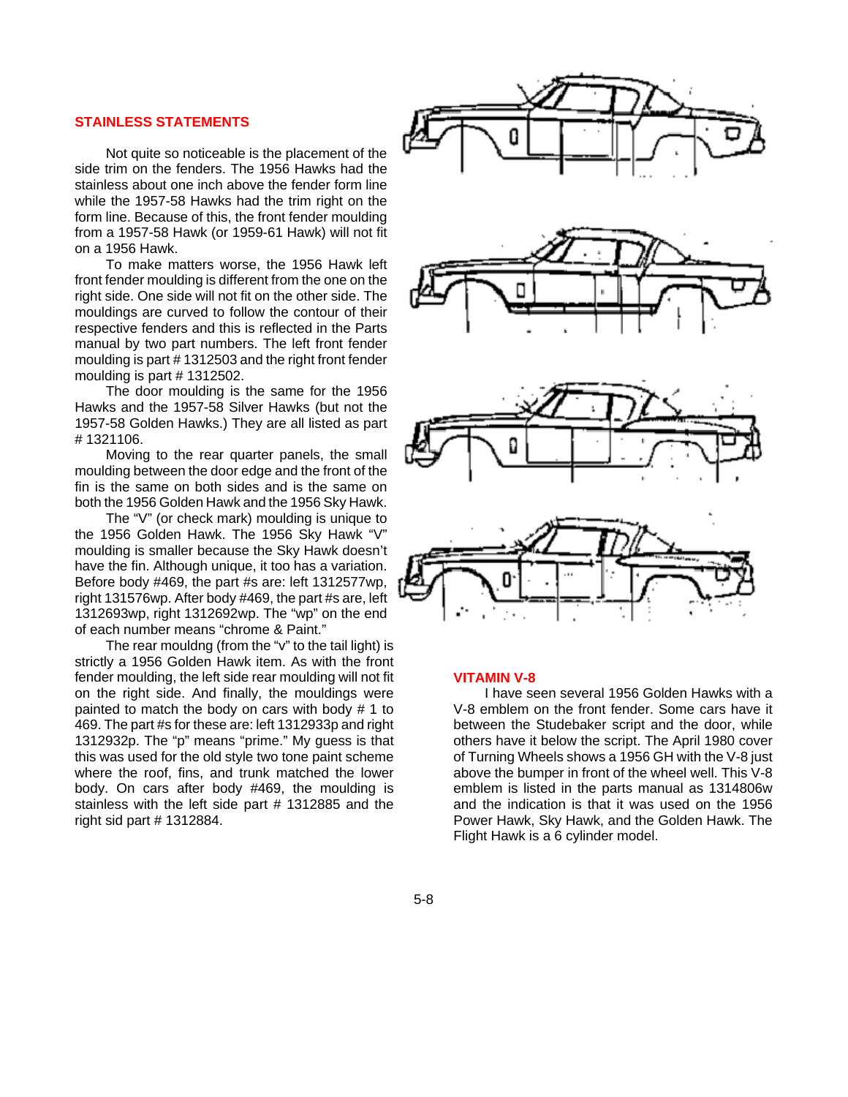#### **STAINLESS STATEMENTS**

Not quite so noticeable is the placement of the side trim on the fenders. The 1956 Hawks had the stainless about one inch above the fender form line while the 1957-58 Hawks had the trim right on the form line. Because of this, the front fender moulding from a 1957-58 Hawk (or 1959-61 Hawk) will not fit on a 1956 Hawk.

To make matters worse, the 1956 Hawk left front fender moulding is different from the one on the right side. One side will not fit on the other side. The mouldings are curved to follow the contour of their respective fenders and this is reflected in the Parts manual by two part numbers. The left front fender moulding is part # 1312503 and the right front fender moulding is part # 1312502.

The door moulding is the same for the 1956 Hawks and the 1957-58 Silver Hawks (but not the 1957-58 Golden Hawks.) They are all listed as part # 1321106.

Moving to the rear quarter panels, the small moulding between the door edge and the front of the fin is the same on both sides and is the same on both the 1956 Golden Hawk and the 1956 Sky Hawk.

The "V" (or check mark) moulding is unique to the 1956 Golden Hawk. The 1956 Sky Hawk "V" moulding is smaller because the Sky Hawk doesn't have the fin. Although unique, it too has a variation. Before body #469, the part #s are: left 1312577wp, right 131576wp. After body #469, the part #s are, left 1312693wp, right 1312692wp. The "wp" on the end of each number means "chrome & Paint."

The rear mouldng (from the "v" to the tail light) is strictly a 1956 Golden Hawk item. As with the front fender moulding, the left side rear moulding will not fit on the right side. And finally, the mouldings were painted to match the body on cars with body # 1 to 469. The part #s for these are: left 1312933p and right 1312932p. The "p" means "prime." My guess is that this was used for the old style two tone paint scheme where the roof, fins, and trunk matched the lower body. On cars after body #469, the moulding is stainless with the left side part # 1312885 and the right sid part # 1312884.









#### **VITAMIN V-8**

I have seen several 1956 Golden Hawks with a V-8 emblem on the front fender. Some cars have it between the Studebaker script and the door, while others have it below the script. The April 1980 cover of Turning Wheels shows a 1956 GH with the V-8 just above the bumper in front of the wheel well. This V-8 emblem is listed in the parts manual as 1314806w and the indication is that it was used on the 1956 Power Hawk, Sky Hawk, and the Golden Hawk. The Flight Hawk is a 6 cylinder model.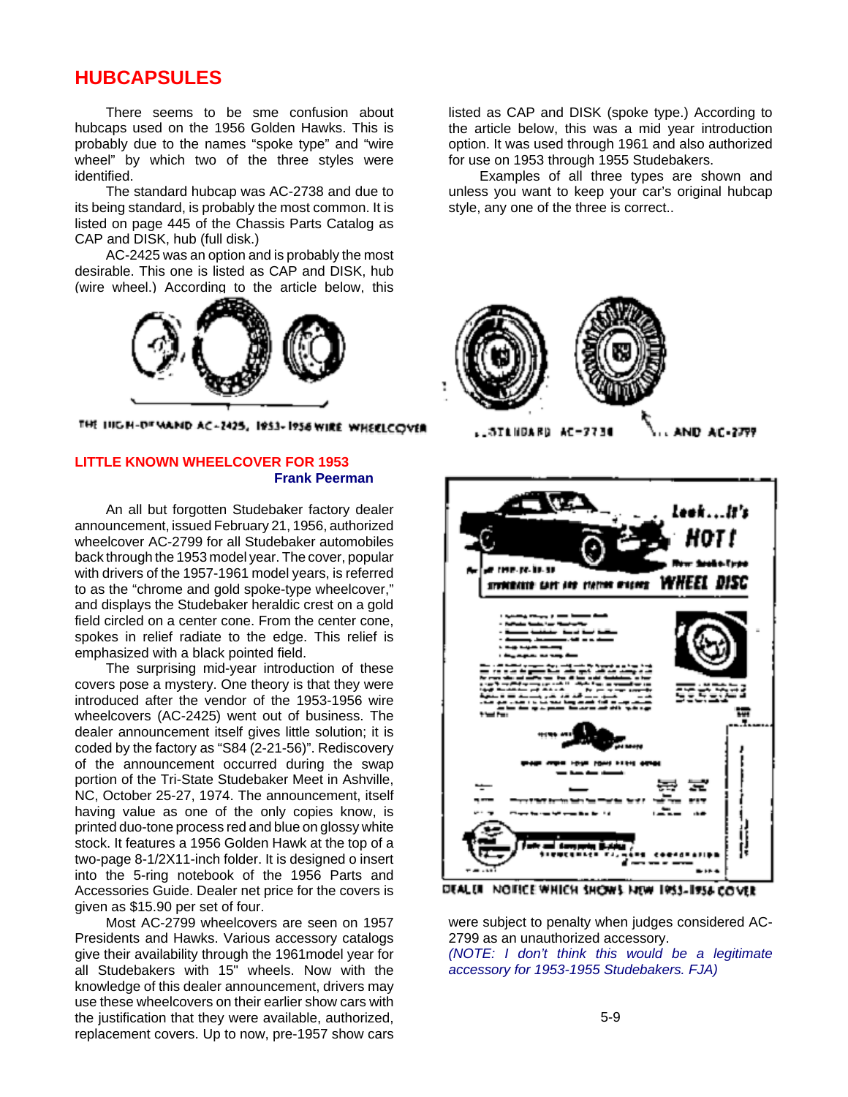# **HUBCAPSULES**

There seems to be sme confusion about hubcaps used on the 1956 Golden Hawks. This is probably due to the names "spoke type" and "wire wheel" by which two of the three styles were identified.

The standard hubcap was AC-2738 and due to its being standard, is probably the most common. It is listed on page 445 of the Chassis Parts Catalog as CAP and DISK, hub (full disk.)

AC-2425 was an option and is probably the most desirable. This one is listed as CAP and DISK, hub (wire wheel.) According to the article below, this



THE HIGH-DEWAND AC-2425, 1953-1956 WIRE WHEELCOVER

### **LITTLE KNOWN WHEELCOVER FOR 1953 Frank Peerman**

An all but forgotten Studebaker factory dealer announcement, issued February 21, 1956, authorized wheelcover AC-2799 for all Studebaker automobiles back through the 1953 model year. The cover, popular with drivers of the 1957-1961 model years, is referred to as the "chrome and gold spoke-type wheelcover," and displays the Studebaker heraldic crest on a gold field circled on a center cone. From the center cone, spokes in relief radiate to the edge. This relief is emphasized with a black pointed field.

The surprising mid-year introduction of these covers pose a mystery. One theory is that they were introduced after the vendor of the 1953-1956 wire wheelcovers (AC-2425) went out of business. The dealer announcement itself gives little solution; it is coded by the factory as "S84 (2-21-56)". Rediscovery of the announcement occurred during the swap portion of the Tri-State Studebaker Meet in Ashville, NC, October 25-27, 1974. The announcement, itself having value as one of the only copies know, is printed duo-tone process red and blue on glossy white stock. It features a 1956 Golden Hawk at the top of a two-page 8-1/2X11-inch folder. It is designed o insert into the 5-ring notebook of the 1956 Parts and Accessories Guide. Dealer net price for the covers is given as \$15.90 per set of four.

Most AC-2799 wheelcovers are seen on 1957 Presidents and Hawks. Various accessory catalogs give their availability through the 1961model year for all Studebakers with 15" wheels. Now with the knowledge of this dealer announcement, drivers may use these wheelcovers on their earlier show cars with the justification that they were available, authorized, replacement covers. Up to now, pre-1957 show cars

listed as CAP and DISK (spoke type.) According to the article below, this was a mid year introduction option. It was used through 1961 and also authorized for use on 1953 through 1955 Studebakers.

Examples of all three types are shown and unless you want to keep your car's original hubcap style, any one of the three is correct..





DEALLE NOTICE WHICH SHOWS NEW 1953-1958 COVER

were subject to penalty when judges considered AC-2799 as an unauthorized accessory. *(NOTE: I don't think this would be a legitimate accessory for 1953-1955 Studebakers. FJA)*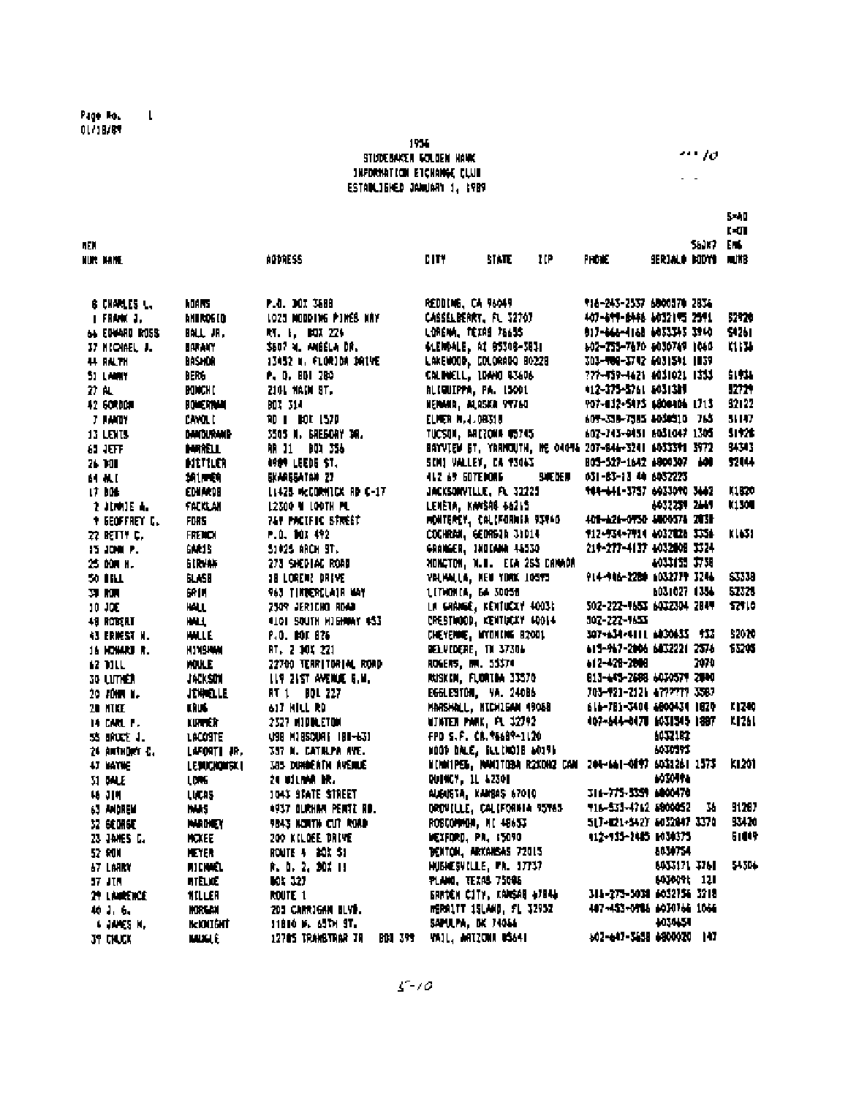### Page Mo.<br>01/18/89  $\mathbf{I}$

1934 STUDEBAKEN GOLDEN HAWK INFORMATION EICHANGE CLUB ESTAILIBIED JANUARY 1, 1989

 $\cdots$  to

 $\sim$   $\sim$ 

 $5 - 10$ 

|     |                       |                             |                               |                                       |                                 |        |                                                          |                    |       | K=Π        |
|-----|-----------------------|-----------------------------|-------------------------------|---------------------------------------|---------------------------------|--------|----------------------------------------------------------|--------------------|-------|------------|
| HEN |                       |                             |                               |                                       |                                 |        |                                                          |                    | 海滨 四輪 |            |
|     | HUR HANE              |                             | <b>MMESS</b>                  | C ITY                                 | STATE                           | ΙP     | PHONE.                                                   | SERIALD DODYD MUNB |       |            |
|     |                       |                             |                               |                                       |                                 |        |                                                          |                    |       |            |
|     | <b>B CHARLES L.</b>   | <b>ADAINS</b>               | P.O. DOX 3688                 | REDING, CA RAMP                       |                                 |        | 916-243-2537 6800570 2834                                |                    |       |            |
|     | 1 FRANC 3.            | ANTROS ED                   | LOZE MODDING PINES NAY        | CASSELBERRY, FL 32767                 |                                 |        | 407-644-8446 6032145 2541                                |                    |       | 52920      |
|     | 64 EDWARD ROSS        | BALL JR.                    | RT. L. MOX 226                | LORENA, TEIRE 76655                   |                                 |        | 017-666-4168 6033343 3940                                |                    |       | 54261      |
|     | <b>IT MICHAEL J.</b>  | <b>BATAIT</b>               | S607 W. AMBELA DR.            | GLEMPALE, AI 85308-3831               |                                 |        | 602-255-7670 6030749 1060                                |                    |       | <b>AIT</b> |
|     | 44 RALTH              | <b>DASHOR</b>               | 13452 W. FLORIDA DAIVE        | LAKEWOOD, COLORADO 80228              |                                 |        | 203-400-2145 2031291 1828                                |                    |       |            |
|     | 51 L. MIT             | BERG.                       | P. D. 801 280                 | CALIMELL, 104HO 83606                 |                                 |        | ???~#\$9~4421 4031021 1333                               |                    |       | 51931      |
|     | 27 AL                 | BUMCH I                     | 2101 MAIN ST.                 | ALCOUIPPA, PA. L3001                  |                                 |        | 412-375-5761 6031311                                     |                    |       | -2721      |
|     | 42 GORDIN             | 的复数地                        | BOI 314                       | HEMMAN, ALASKA 94760                  |                                 |        | PO7-012-5475 6800404 1713                                |                    |       | 92122      |
|     | J MANDY               | CANAL I                     | 10   101   1370               | ELMEN N.J. 08310                      |                                 |        | 607-330-7385 6030310 765                                 |                    |       | 51 147     |
|     | 13 LEWIS              | <b>DAMIDURAME</b>           | 3505 N. BREBORY 3A.           | TUCSUM, ARIZONA 05745                 |                                 |        | 602-743-9451 6031047 1305                                |                    |       | \$1928     |
|     | ा आह                  | <b>HANELL</b>               | AR 11 BUN 356                 |                                       |                                 |        | BAYVIEW ST, YARNOUTH, ME 04076 207-846-3241 6033391 3972 |                    |       | 94343      |
|     | 21 MI                 | DIETILER                    | <b>ARDO LEEDS ST.</b>         | SIM) VALLEY, CA 73061                 |                                 |        | 805-527-1642 6800307 600                                 |                    |       | 5214       |
|     | 64 M.D                | 第1章第                        | EKAREGATAN 27                 | <b>412 AP GOTEDOME</b>                |                                 | SMEDEN | 031-83-13 40 6032223                                     |                    |       |            |
|     | L7 DDB                | EDIMANI                     | LL425 McCOMMICK AD C-17       | JACKSONVILLE, FL 32225                |                                 |        | 444-641-3757 6033040 3662                                |                    |       | K1820      |
|     | 2 JUNIE 4.            | FACILAN                     | 12300 W LODTH PL              | LEMEIA, KAMSAB 66215                  |                                 |        |                                                          | 6032259 2669       |       | K1300      |
|     | <b>† GEOFFREY C.</b>  | FORS                        | <b>754 PACTFIC STREET</b>     | MONTEREY, CALIFORNIA 93940            |                                 |        | 401-621-0750 8000574 2031                                |                    |       |            |
|     | 22 BETTY C.           | FRENCH                      | P.O. DOI 492                  | COCHRAN, GEORGIA 31014                |                                 |        | 912-934-7914 6032028 3356                                |                    |       | KlaSt      |
|     | 15 JON P.             | GN 15                       | 51025 ARCH 9T.                | GRANGER, JHDIANA 45530                |                                 |        | 219-277-4137 4032008 3324                                |                    |       |            |
|     | 25 DOM H.             | <b>BIRMA</b>                | 273 SHEDIAC ROAD              | NONCTON, N.D. EIA 255 CAMADA          |                                 |        |                                                          | 砂球球 草油             |       |            |
|     | 50 HILL               | <b>BLASE</b>                | 18 LORENZ DRIVE               | VALMALLA, NEW YORK 10573              |                                 |        | 914-946-2280 1032779 3246                                |                    |       | 53330      |
|     | 39. M.R               | 68 I H                      | 963 TIMBERELAIR WAY           | 1 [THOM [A, 64 30056                  |                                 |        |                                                          | 6031027 1356       |       | 52576      |
|     | 10 JOE                | HALL.                       | 2309 JERICHO RDAD             | LA <del>Canad</del> e, Kentucay 40031 |                                 |        | 502-222-9653 6032304 2849                                |                    |       | 7710       |
|     | 48 ROBERT             | HЩ                          | <b>4101 SOUTH HIGHWAY #53</b> | CRESTWOOD, KIENTUCKY 40014            |                                 |        | 307-222-1633                                             |                    |       |            |
|     | AJ ERNEST N.          | <b>MALLE</b>                | P.O. 101 876                  | CHEVENINE, INVENIUNE 82001            |                                 |        | 307+634-4111_6030633_                                    |                    | 111   | 52010      |
|     | 16 HOMARD R.          | <b>HINSHAM</b>              | AT, 2 101 221                 | DELVIDERE, TN 37306                   |                                 |        | 615-967-2006 6032221 2376                                |                    |       | 1245       |
|     | <b>62 DILL</b>        | MULE                        | 22700 TERRITORIAL ROAD        | ROGERS, MM. 55374                     |                                 |        | +12-428-2008                                             |                    | 7070  |            |
|     | 30 LUTHER             | <b>JACKSON</b>              | LLY 2LST AVENUE 6.M.          | ruskim, flortim 33570                 |                                 |        | 813-445-2488 6030571 2040                                |                    |       |            |
|     | 20 JUNE 1.            | <b>JEWHOLLE</b>             | AT 1 BDL 227                  | EGGLESTON, VA. 240B6                  |                                 |        | 703-921-2121 a777777 3567                                |                    |       |            |
|     | 20 HTKE               | THIS.                       | 617 MILL RD                   | MARSHALL, NICHIGAN 49068              |                                 |        | 616-781-3404 6800434 1820                                |                    |       | 81240      |
|     | 14 DAN P.             | <b>KURTER</b>               | 2327 MIDNLETON                | WINTER PARK, FL 32792                 |                                 |        | 407-644-0178 1031345 1897                                |                    |       | KI 76 L    |
|     | 55 MART 1.            | LACOSTE                     | USB MIBSOURE 188-631          | FPD S.F. CR. 96689-1120               |                                 |        |                                                          | 1032182            |       |            |
|     | 24 ANTHURY C.         | LAFORTI JR.                 | 337 M. CATHLPA AVE.           |                                       | MOOD DALE, ILLIMOJE 6019).      |        |                                                          | <b>MUNITS</b>      |       |            |
|     | 47 HAYNE              | LEDUCHOMBKI                 | 385 DUHNCATH AVENUE           |                                       | HEMMIPES, MANITOBA R2XONZ CAN   |        | 200-661-0897 6031261 1573                                |                    |       | KI 201     |
|     | 51 MALE               | LDNG                        | 24 VILNA IR.                  | QUINCY, 11 42301                      |                                 |        | 316-775-3359 6000470                                     | <b>MOTH</b>        |       |            |
|     | 16 JIN                | LUCAS                       | <b>JOAS STATE STREET</b>      |                                       | ALGUSTA, KAMBAS 67010           |        | 716-531-4762 6800052                                     |                    | 36.   | 91287      |
|     | 63 ANDREW             | h. Is                       | 4937 OLRHAN PENTI RD.         |                                       | DROVILLE, CALIFORNIA 95763      |        | 51]-021-5427 6032047 3370                                |                    |       | 93470      |
|     | 32 硫明硫                | N HINTY                     | <b>9843 NORTH CUT ROAD</b>    | ROSCOMMUN, MI 49653                   |                                 |        | 012-915-2485 1030375                                     |                    |       | 61019      |
|     | 23 JAMES C.           | INCAEE                      | 200 KILDEE DRIVE              | WEIFDRO, PR, 15090                    | DENTON, ARXANSAS 72015          |        |                                                          | 4030754            |       |            |
|     | 52 RON                | I TER                       | ROUTE 4 2003 51               |                                       |                                 |        |                                                          | 6953171 3761       |       | 54506      |
|     | A7 LAARY              | AI EN ALL<br><b>HTELIOE</b> | A. D. 2, 20% II<br>MI 127     | <b>PLANO, TEXAS 75096</b>             | MUSHESVILLE, PR. 17737          |        |                                                          | <b>MJMY: 121</b>   |       |            |
|     | 97 JIM<br>29 LANNEWEE | NTLLER                      | ROUTE 1                       |                                       | ERRICH CITY, KANSAB 47846       |        | 314-275-5038 6052754 3218                                |                    |       |            |
|     | 40 J. 6.              | MURICANI                    | 205 CARRIGAN BLVD.            |                                       | <b>MERGITT 15LAND, FL 32952</b> |        | 407-453-0986 6030764 1064                                |                    |       |            |
|     | 1 JANES M.            | Hekonighti                  | 11810 F. 65TH ST.             | SAMULPA, DK 74066                     |                                 |        |                                                          | <b>MARKI</b>       |       |            |
|     | JY CHUCK              | <b>MULLE</b>                | 12705 TRANSTANR TR<br>BDJ 399 | VAIL, MATIONA OS641                   |                                 |        | 602-647-3538 6800020 147                                 |                    |       |            |
|     |                       |                             |                               |                                       |                                 |        |                                                          |                    |       |            |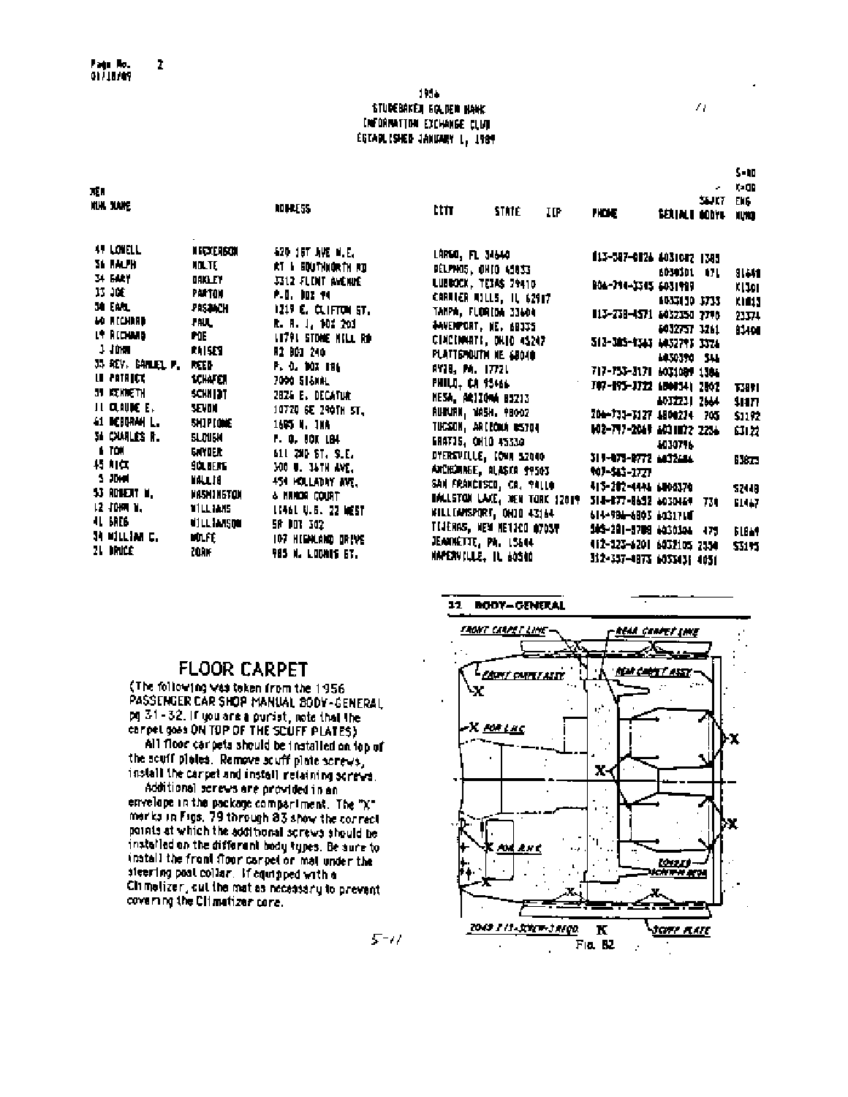#### 1956 STUREBAKEN SOLDEN HANK INFORMATION EXCHANGE CLUB EGTABLISHED JANUARY 1, 1989

S-MI

 $\prime$ 

| п. | <b>WIN XANE</b>                                                                                                                                                                                                                                                                                    |                                                                                                                                                                                                                                                                             | ADIALESS.                                                                                                                                                                                                                                                                                                                                                                                                                                      | l'it                                                                                                                                                                                                                                                                                                                                                                                                                                                                                                                                                                    | STATE | ΙР | <b>HOW</b>                                                                                                                                                                                                                                                                                                                                                                                                                              | SERIALI BODYL                                                                         | ٠<br>SHIFT | K-OD<br>ENG.<br>NUMO                                                                                                               |
|----|----------------------------------------------------------------------------------------------------------------------------------------------------------------------------------------------------------------------------------------------------------------------------------------------------|-----------------------------------------------------------------------------------------------------------------------------------------------------------------------------------------------------------------------------------------------------------------------------|------------------------------------------------------------------------------------------------------------------------------------------------------------------------------------------------------------------------------------------------------------------------------------------------------------------------------------------------------------------------------------------------------------------------------------------------|-------------------------------------------------------------------------------------------------------------------------------------------------------------------------------------------------------------------------------------------------------------------------------------------------------------------------------------------------------------------------------------------------------------------------------------------------------------------------------------------------------------------------------------------------------------------------|-------|----|-----------------------------------------------------------------------------------------------------------------------------------------------------------------------------------------------------------------------------------------------------------------------------------------------------------------------------------------------------------------------------------------------------------------------------------------|---------------------------------------------------------------------------------------|------------|------------------------------------------------------------------------------------------------------------------------------------|
|    | 47 LONELL<br>SI MALIN<br>34 EART<br>13 JOE<br>38 EAN<br>AO MICHARD<br><b>IT RIGHME</b><br>1 J DHM<br>苏维尔路口儿儿<br>LE PATRICK<br>39 KENNETH<br>JI QAUNE E.<br>41 DEBURAH L.<br>SI CAMILES R.<br>A TON<br>特利尔<br>5 10 11<br>SS ADIENT M.<br>12 JOHN 11,<br><b>AL BRES</b><br>SA MILLIAN C.<br>21 DANCE | <b>NICKERSON</b><br>MDLTE<br><b>DAKLEY</b><br>PANTON<br>PASANCH<br>FAIL.<br>ME<br>MISET<br>AT L<br>tCIMFET<br>SCHM IDT<br>SEVIN<br>SHIP LONE<br><b>SLUUEN</b><br><b>GANDER</b><br>轨匠框<br>HALL I B<br>MASMI NGTON<br><b>MILLIANS</b><br><b>MILLIANSON</b><br>MOLFE.<br>ZOAN- | <b>420 167 AVE M.E.</b><br>AT I GOUTHNORTH AD<br>3312 FLINT AVENUE<br>P.O. DOZ 94<br>1219 E. CLIFTON ST.<br>R. R. I. 101 201<br>LITAL STORE NELL RO<br>A2 BD3 240<br>P. O. DOX 186<br>7000 STANN.<br>2021 E. DECATUR<br>10720 SE 290TH ST,<br>1685 W. JMA<br><b>F. O. BOK LBA</b><br>611 200 ST. S.E.<br>300 U. 34TH AVE.<br>454 HOLLADAY AVE.<br>& HANDA COURT<br>LE461 Q.G. 22 WEST<br>SA DOZ 302<br>107 HEPALAND DRIVE<br>985 N. LODAIS ST. | LARGO, FL 34640<br>DELPHOS, OHIO 49833<br>LUBBOCK, TEIAS 79410<br>CARAIER MOLLS, IL 62917<br>TANPA, FLORIDA 33604<br><b>INVENTIONT, NE, 68335</b><br>CINCIMMATE, DRIO 45247<br>PLATTERNITH NE 48040<br>AYIB, PA. 1772L<br>PHILA, CA 95466<br>NESA, ARIIOMA 85213<br>AUDURN, 145H, 98002<br>TUCSON, ARIICHA USTON<br>ERATIS, CH10 45330<br>DYERSVILLE, COMM 52040<br>ANCHUMME, ALASKA 19503<br>SAN FRANCISCO, CA. 94110<br><b>HALLSTON LAKE, REN TORK 12019</b><br>KILLIAMSPORT, OHIO 43164<br>TEJERAS, NEW MENICO O7037<br>JEANNETTE, PA. 15644<br>HAPERVILLE, IL 60500 |       |    | 113-387-0126 4031042 1385<br>BM-714-3345 6031989<br>013-238-4571 6032350 2790<br>513-385-4343 4452743 3324<br>717-753-3171 6031089 1386<br>707-195-3722 6800341 2802<br>204-733-3127 4800274 705<br>102-797-2049 A031072 2234<br>311-175-1772 6032646<br>407-543-2727<br>415-202-4444 6000370<br>318-877-8652 6030464 730<br>614-784-6803 6031710<br>105-201-5708 6030304 475<br>412-323-6201 6032105 2334<br>312-337-4873 6053431 4051 | 6030301 071<br>1033130 3733<br>6032757 3261<br>1450390 SAL<br>4012231 2664<br>1030776 |            | 91641<br>K 1.301<br>KH 13<br>21574<br>81 M<br>тягі<br>\$18.TP<br>\$1192<br>ជាង<br>63823<br>SZ440<br>E1417<br><b>FLOAT</b><br>53175 |

# **FLOOR CARPET**

(The following was taken from the 1956) PASSENCER CAR SHOP MANUAL BODY-GENERAL pg 31-32. If you are a purist, note that the carpet goes ON TOP OF THE SCUFF PLATES)

All floor carpets should be installed on top of the souff plates. Remove souff plate screws, install the carpet and install relaining screws.

Additional screws are provided in an envelope in the package compariment. The "X" menks in Figs. 79 through 83 show the correct points at which the additional screws should be installed on the different body types. Be sure to install the front floor carpet or mat under the steering post collar. If equipped with a Cirmatizen, cut the mat as necessary to prevent covering the Climatizer core.

 $5 - 11$